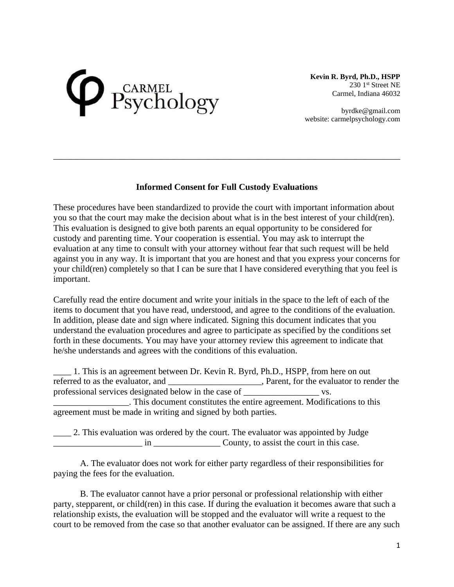## Psychology

**Kevin R. Byrd, Ph.D., HSPP** 230 1<sup>st</sup> Street NE Carmel, Indiana 46032

byrdke@gmail.com website: carmelpsychology.com

## **Informed Consent for Full Custody Evaluations**

\_\_\_\_\_\_\_\_\_\_\_\_\_\_\_\_\_\_\_\_\_\_\_\_\_\_\_\_\_\_\_\_\_\_\_\_\_\_\_\_\_\_\_\_\_\_\_\_\_\_\_\_\_\_\_\_\_\_\_\_\_\_\_\_\_\_\_\_\_\_\_\_\_\_\_\_\_\_

These procedures have been standardized to provide the court with important information about you so that the court may make the decision about what is in the best interest of your child(ren). This evaluation is designed to give both parents an equal opportunity to be considered for custody and parenting time. Your cooperation is essential. You may ask to interrupt the evaluation at any time to consult with your attorney without fear that such request will be held against you in any way. It is important that you are honest and that you express your concerns for your child(ren) completely so that I can be sure that I have considered everything that you feel is important.

Carefully read the entire document and write your initials in the space to the left of each of the items to document that you have read, understood, and agree to the conditions of the evaluation. In addition, please date and sign where indicated. Signing this document indicates that you understand the evaluation procedures and agree to participate as specified by the conditions set forth in these documents. You may have your attorney review this agreement to indicate that he/she understands and agrees with the conditions of this evaluation.

1. This is an agreement between Dr. Kevin R. Byrd, Ph.D., HSPP, from here on out referred to as the evaluator, and \_\_\_\_\_\_\_\_\_\_\_\_\_\_\_\_\_, Parent, for the evaluator to render the professional services designated below in the case of \_\_\_\_\_\_\_\_\_\_\_\_\_\_\_\_\_ vs. \_\_\_\_\_\_\_\_\_\_\_\_\_\_\_\_\_. This document constitutes the entire agreement. Modifications to this agreement must be made in writing and signed by both parties.

\_\_\_\_ 2. This evaluation was ordered by the court. The evaluator was appointed by Judge \_\_\_\_\_\_\_\_\_\_\_\_\_\_\_\_\_\_\_\_ in \_\_\_\_\_\_\_\_\_\_\_\_\_\_\_ County, to assist the court in this case.

A. The evaluator does not work for either party regardless of their responsibilities for paying the fees for the evaluation.

B. The evaluator cannot have a prior personal or professional relationship with either party, stepparent, or child(ren) in this case. If during the evaluation it becomes aware that such a relationship exists, the evaluation will be stopped and the evaluator will write a request to the court to be removed from the case so that another evaluator can be assigned. If there are any such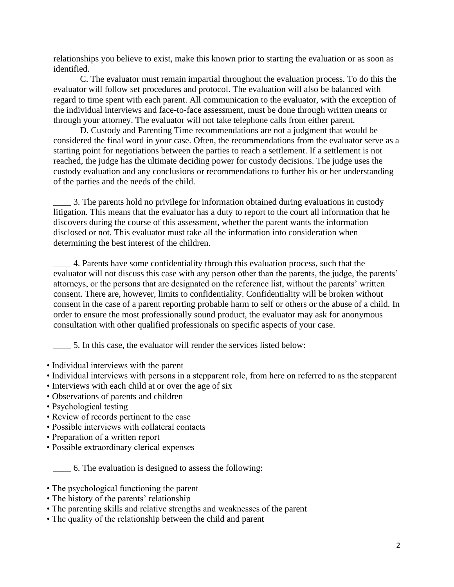relationships you believe to exist, make this known prior to starting the evaluation or as soon as identified.

C. The evaluator must remain impartial throughout the evaluation process. To do this the evaluator will follow set procedures and protocol. The evaluation will also be balanced with regard to time spent with each parent. All communication to the evaluator, with the exception of the individual interviews and face-to-face assessment, must be done through written means or through your attorney. The evaluator will not take telephone calls from either parent.

D. Custody and Parenting Time recommendations are not a judgment that would be considered the final word in your case. Often, the recommendations from the evaluator serve as a starting point for negotiations between the parties to reach a settlement. If a settlement is not reached, the judge has the ultimate deciding power for custody decisions. The judge uses the custody evaluation and any conclusions or recommendations to further his or her understanding of the parties and the needs of the child.

\_\_\_\_ 3. The parents hold no privilege for information obtained during evaluations in custody litigation. This means that the evaluator has a duty to report to the court all information that he discovers during the course of this assessment, whether the parent wants the information disclosed or not. This evaluator must take all the information into consideration when determining the best interest of the children.

\_\_\_\_ 4. Parents have some confidentiality through this evaluation process, such that the evaluator will not discuss this case with any person other than the parents, the judge, the parents' attorneys, or the persons that are designated on the reference list, without the parents' written consent. There are, however, limits to confidentiality. Confidentiality will be broken without consent in the case of a parent reporting probable harm to self or others or the abuse of a child. In order to ensure the most professionally sound product, the evaluator may ask for anonymous consultation with other qualified professionals on specific aspects of your case.

\_\_\_\_ 5. In this case, the evaluator will render the services listed below:

- Individual interviews with the parent
- Individual interviews with persons in a stepparent role, from here on referred to as the stepparent
- Interviews with each child at or over the age of six
- Observations of parents and children
- Psychological testing
- Review of records pertinent to the case
- Possible interviews with collateral contacts
- Preparation of a written report
- Possible extraordinary clerical expenses

\_\_\_\_ 6. The evaluation is designed to assess the following:

- The psychological functioning the parent
- The history of the parents' relationship
- The parenting skills and relative strengths and weaknesses of the parent
- The quality of the relationship between the child and parent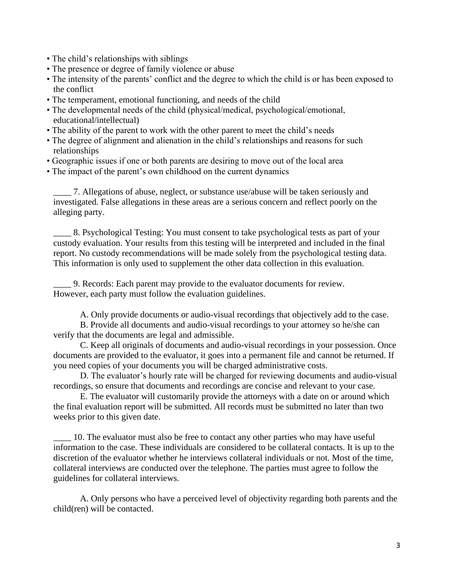- The child's relationships with siblings
- The presence or degree of family violence or abuse
- The intensity of the parents' conflict and the degree to which the child is or has been exposed to the conflict
- The temperament, emotional functioning, and needs of the child
- The developmental needs of the child (physical/medical, psychological/emotional, educational/intellectual)
- The ability of the parent to work with the other parent to meet the child's needs
- The degree of alignment and alienation in the child's relationships and reasons for such relationships
- Geographic issues if one or both parents are desiring to move out of the local area
- The impact of the parent's own childhood on the current dynamics

\_\_\_\_ 7. Allegations of abuse, neglect, or substance use/abuse will be taken seriously and investigated. False allegations in these areas are a serious concern and reflect poorly on the alleging party.

\_\_\_\_ 8. Psychological Testing: You must consent to take psychological tests as part of your custody evaluation. Your results from this testing will be interpreted and included in the final report. No custody recommendations will be made solely from the psychological testing data. This information is only used to supplement the other data collection in this evaluation.

\_\_\_\_ 9. Records: Each parent may provide to the evaluator documents for review. However, each party must follow the evaluation guidelines.

A. Only provide documents or audio-visual recordings that objectively add to the case.

B. Provide all documents and audio-visual recordings to your attorney so he/she can verify that the documents are legal and admissible.

C. Keep all originals of documents and audio-visual recordings in your possession. Once documents are provided to the evaluator, it goes into a permanent file and cannot be returned. If you need copies of your documents you will be charged administrative costs.

D. The evaluator's hourly rate will be charged for reviewing documents and audio-visual recordings, so ensure that documents and recordings are concise and relevant to your case.

E. The evaluator will customarily provide the attorneys with a date on or around which the final evaluation report will be submitted. All records must be submitted no later than two weeks prior to this given date.

\_\_\_\_ 10. The evaluator must also be free to contact any other parties who may have useful information to the case. These individuals are considered to be collateral contacts. It is up to the discretion of the evaluator whether he interviews collateral individuals or not. Most of the time, collateral interviews are conducted over the telephone. The parties must agree to follow the guidelines for collateral interviews.

A. Only persons who have a perceived level of objectivity regarding both parents and the child(ren) will be contacted.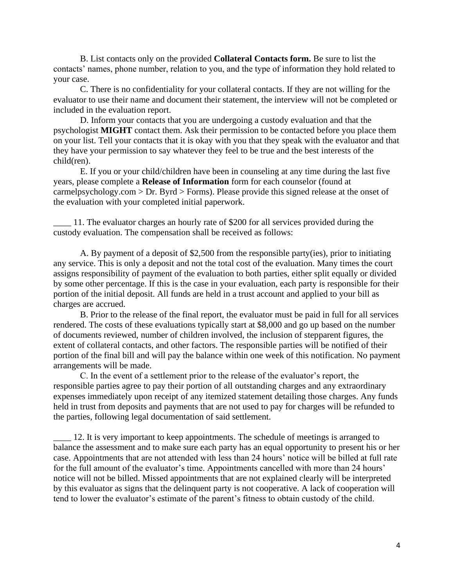B. List contacts only on the provided **Collateral Contacts form.** Be sure to list the contacts' names, phone number, relation to you, and the type of information they hold related to your case.

C. There is no confidentiality for your collateral contacts. If they are not willing for the evaluator to use their name and document their statement, the interview will not be completed or included in the evaluation report.

D. Inform your contacts that you are undergoing a custody evaluation and that the psychologist **MIGHT** contact them. Ask their permission to be contacted before you place them on your list. Tell your contacts that it is okay with you that they speak with the evaluator and that they have your permission to say whatever they feel to be true and the best interests of the child(ren).

E. If you or your child/children have been in counseling at any time during the last five years, please complete a **Release of Information** form for each counselor (found at carmelpsychology.com > Dr. Byrd > Forms). Please provide this signed release at the onset of the evaluation with your completed initial paperwork.

\_\_\_\_ 11. The evaluator charges an hourly rate of \$200 for all services provided during the custody evaluation. The compensation shall be received as follows:

A. By payment of a deposit of \$2,500 from the responsible party(ies), prior to initiating any service. This is only a deposit and not the total cost of the evaluation. Many times the court assigns responsibility of payment of the evaluation to both parties, either split equally or divided by some other percentage. If this is the case in your evaluation, each party is responsible for their portion of the initial deposit. All funds are held in a trust account and applied to your bill as charges are accrued.

B. Prior to the release of the final report, the evaluator must be paid in full for all services rendered. The costs of these evaluations typically start at \$8,000 and go up based on the number of documents reviewed, number of children involved, the inclusion of stepparent figures, the extent of collateral contacts, and other factors. The responsible parties will be notified of their portion of the final bill and will pay the balance within one week of this notification. No payment arrangements will be made.

C. In the event of a settlement prior to the release of the evaluator's report, the responsible parties agree to pay their portion of all outstanding charges and any extraordinary expenses immediately upon receipt of any itemized statement detailing those charges. Any funds held in trust from deposits and payments that are not used to pay for charges will be refunded to the parties, following legal documentation of said settlement.

\_\_\_\_ 12. It is very important to keep appointments. The schedule of meetings is arranged to balance the assessment and to make sure each party has an equal opportunity to present his or her case. Appointments that are not attended with less than 24 hours' notice will be billed at full rate for the full amount of the evaluator's time. Appointments cancelled with more than 24 hours' notice will not be billed. Missed appointments that are not explained clearly will be interpreted by this evaluator as signs that the delinquent party is not cooperative. A lack of cooperation will tend to lower the evaluator's estimate of the parent's fitness to obtain custody of the child.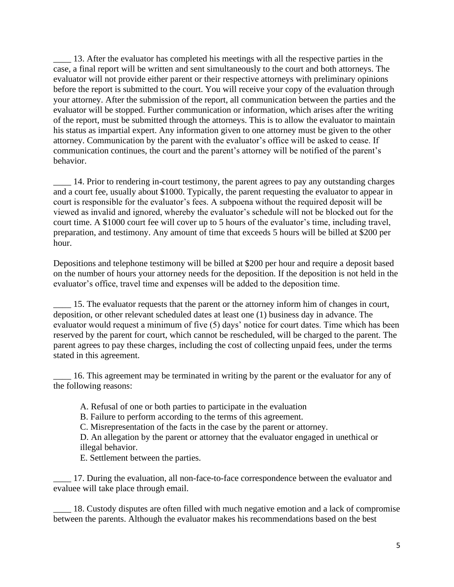\_\_\_\_ 13. After the evaluator has completed his meetings with all the respective parties in the case, a final report will be written and sent simultaneously to the court and both attorneys. The evaluator will not provide either parent or their respective attorneys with preliminary opinions before the report is submitted to the court. You will receive your copy of the evaluation through your attorney. After the submission of the report, all communication between the parties and the evaluator will be stopped. Further communication or information, which arises after the writing of the report, must be submitted through the attorneys. This is to allow the evaluator to maintain his status as impartial expert. Any information given to one attorney must be given to the other attorney. Communication by the parent with the evaluator's office will be asked to cease. If communication continues, the court and the parent's attorney will be notified of the parent's behavior.

\_\_\_\_ 14. Prior to rendering in-court testimony, the parent agrees to pay any outstanding charges and a court fee, usually about \$1000. Typically, the parent requesting the evaluator to appear in court is responsible for the evaluator's fees. A subpoena without the required deposit will be viewed as invalid and ignored, whereby the evaluator's schedule will not be blocked out for the court time. A \$1000 court fee will cover up to 5 hours of the evaluator's time, including travel, preparation, and testimony. Any amount of time that exceeds 5 hours will be billed at \$200 per hour.

Depositions and telephone testimony will be billed at \$200 per hour and require a deposit based on the number of hours your attorney needs for the deposition. If the deposition is not held in the evaluator's office, travel time and expenses will be added to the deposition time.

\_\_\_\_ 15. The evaluator requests that the parent or the attorney inform him of changes in court, deposition, or other relevant scheduled dates at least one (1) business day in advance. The evaluator would request a minimum of five (5) days' notice for court dates. Time which has been reserved by the parent for court, which cannot be rescheduled, will be charged to the parent. The parent agrees to pay these charges, including the cost of collecting unpaid fees, under the terms stated in this agreement.

\_\_\_\_ 16. This agreement may be terminated in writing by the parent or the evaluator for any of the following reasons:

A. Refusal of one or both parties to participate in the evaluation

B. Failure to perform according to the terms of this agreement.

C. Misrepresentation of the facts in the case by the parent or attorney.

D. An allegation by the parent or attorney that the evaluator engaged in unethical or illegal behavior.

E. Settlement between the parties.

\_\_\_\_ 17. During the evaluation, all non-face-to-face correspondence between the evaluator and evaluee will take place through email.

\_\_\_\_ 18. Custody disputes are often filled with much negative emotion and a lack of compromise between the parents. Although the evaluator makes his recommendations based on the best